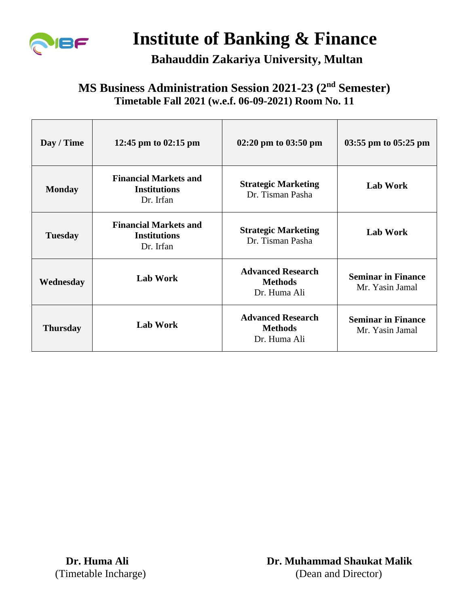

# **Institute of Banking & Finance**

### **Bahauddin Zakariya University, Multan**

#### **MS Business Administration Session 2021-23 (2nd Semester) Timetable Fall 2021 (w.e.f. 06-09-2021) Room No. 11**

| Day / Time      | 12:45 pm to 02:15 pm                                             | $02:20 \text{ pm}$ to $03:50 \text{ pm}$                   | $03:55$ pm to $05:25$ pm                     |
|-----------------|------------------------------------------------------------------|------------------------------------------------------------|----------------------------------------------|
| <b>Monday</b>   | <b>Financial Markets and</b><br><b>Institutions</b><br>Dr. Irfan | <b>Strategic Marketing</b><br>Dr. Tisman Pasha             | <b>Lab Work</b>                              |
| <b>Tuesday</b>  | <b>Financial Markets and</b><br><b>Institutions</b><br>Dr. Irfan | <b>Strategic Marketing</b><br>Dr. Tisman Pasha             | <b>Lab Work</b>                              |
| Wednesday       | <b>Lab Work</b>                                                  | <b>Advanced Research</b><br><b>Methods</b><br>Dr. Huma Ali | <b>Seminar in Finance</b><br>Mr. Yasin Jamal |
| <b>Thursday</b> | <b>Lab Work</b>                                                  | <b>Advanced Research</b><br><b>Methods</b><br>Dr. Huma Ali | <b>Seminar in Finance</b><br>Mr. Yasin Jamal |